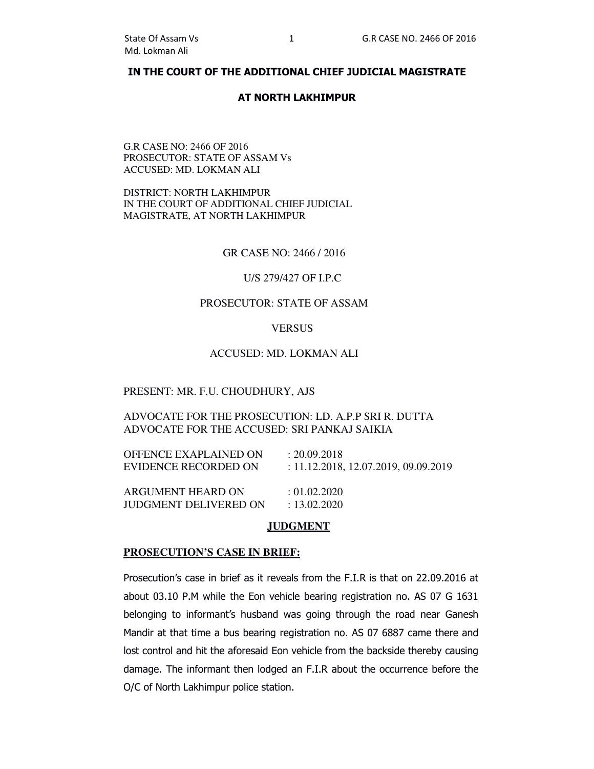## **IN THE COURT OF THE ADDITIONAL CHIEF JUDICIAL MAGISTRATE**

## **AT NORTH LAKHIMPUR**

## G.R CASE NO: 2466 OF 2016 PROSECUTOR: STATE OF ASSAM Vs ACCUSED: MD. LOKMAN ALI

DISTRICT: NORTH LAKHIMPUR IN THE COURT OF ADDITIONAL CHIEF JUDICIAL MAGISTRATE, AT NORTH LAKHIMPUR

GR CASE NO: 2466 / 2016

## U/S 279/427 OF I.P.C

#### PROSECUTOR: STATE OF ASSAM

#### **VERSUS**

# ACCUSED: MD. LOKMAN ALI

## PRESENT: MR. F.U. CHOUDHURY, AJS

ADVOCATE FOR THE PROSECUTION: LD. A.P.P SRI R. DUTTA ADVOCATE FOR THE ACCUSED: SRI PANKAJ SAIKIA

| OFFENCE EXAPLAINED ON | : 20.09.2018                         |
|-----------------------|--------------------------------------|
| EVIDENCE RECORDED ON  | : 11.12.2018, 12.07.2019, 09.09.2019 |
| ARGUMENT HEARD ON     | $\pm 01.02.2020$                     |
| JUDGMENT DELIVERED ON | : 13.02.2020                         |

## **JUDGMENT**

#### **PROSECUTION'S CASE IN BRIEF:**

Prosecution's case in brief as it reveals from the F.I.R is that on 22.09.2016 at about 03.10 P.M while the Eon vehicle bearing registration no. AS 07 G 1631 belonging to informant's husband was going through the road near Ganesh Mandir at that time a bus bearing registration no. AS 07 6887 came there and lost control and hit the aforesaid Eon vehicle from the backside thereby causing damage. The informant then lodged an F.I.R about the occurrence before the O/C of North Lakhimpur police station.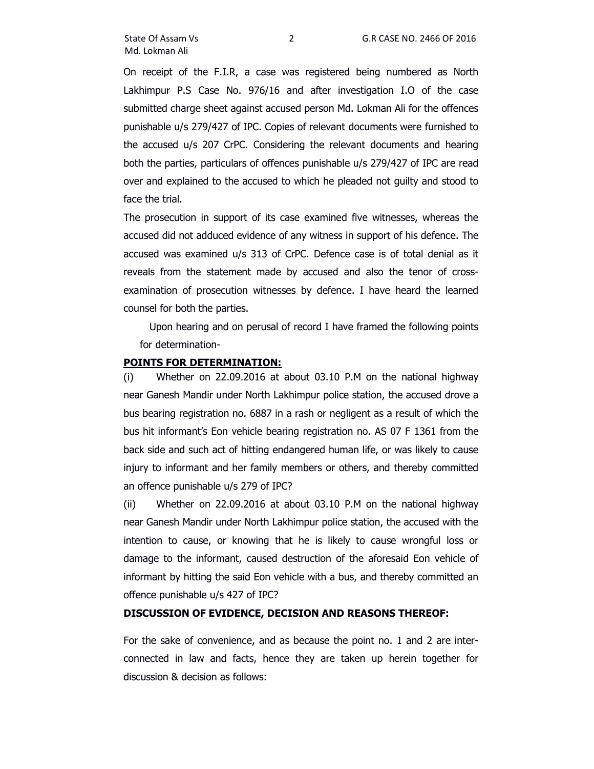On receipt of the F.I.R, a case was registered being numbered as North Lakhimpur P.S Case No. 976/16 and after investigation I.O of the case submitted charge sheet against accused person Md. Lokman Ali for the offences punishable u/s 279/427 of IPC. Copies of relevant documents were furnished to the accused u/s 207 CrPC. Considering the relevant documents and hearing both the parties, particulars of offences punishable u/s 279/427 of IPC are read over and explained to the accused to which he pleaded not guilty and stood to face the trial.

The prosecution in support of its case examined five witnesses, whereas the accused did not adduced evidence of any witness in support of his defence. The accused was examined u/s 313 of CrPC. Defence case is of total denial as it reveals from the statement made by accused and also the tenor of crossexamination of prosecution witnesses by defence. I have heard the learned counsel for both the parties.

 Upon hearing and on perusal of record I have framed the following points for determination-

## **POINTS FOR DETERMINATION:**

(i) Whether on 22.09.2016 at about 03.10 P.M on the national highway near Ganesh Mandir under North Lakhimpur police station, the accused drove a bus bearing registration no. 6887 in a rash or negligent as a result of which the bus hit informant's Eon vehicle bearing registration no. AS 07 F 1361 from the back side and such act of hitting endangered human life, or was likely to cause injury to informant and her family members or others, and thereby committed an offence punishable u/s 279 of IPC?

(ii) Whether on 22.09.2016 at about 03.10 P.M on the national highway near Ganesh Mandir under North Lakhimpur police station, the accused with the intention to cause, or knowing that he is likely to cause wrongful loss or damage to the informant, caused destruction of the aforesaid Eon vehicle of informant by hitting the said Eon vehicle with a bus, and thereby committed an offence punishable u/s 427 of IPC?

## **DISCUSSION OF EVIDENCE, DECISION AND REASONS THEREOF:**

For the sake of convenience, and as because the point no. 1 and 2 are interconnected in law and facts, hence they are taken up herein together for discussion & decision as follows: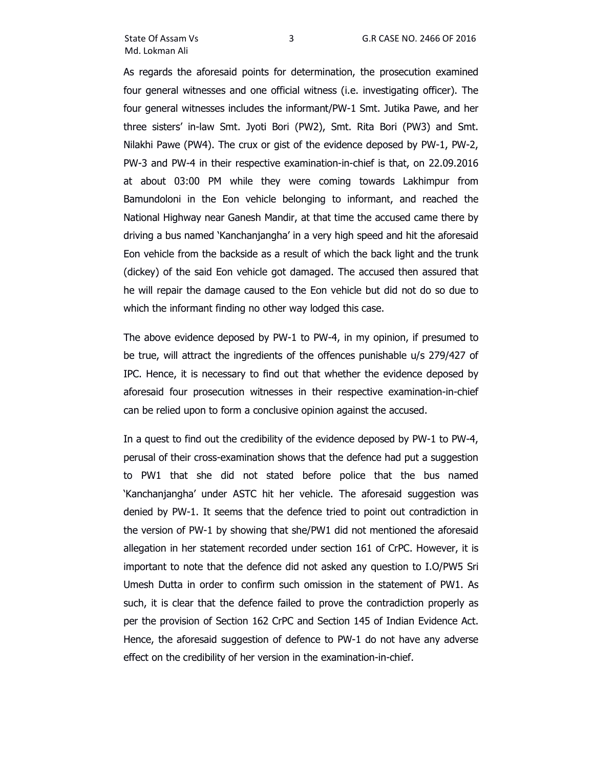As regards the aforesaid points for determination, the prosecution examined four general witnesses and one official witness (i.e. investigating officer). The four general witnesses includes the informant/PW-1 Smt. Jutika Pawe, and her three sisters' in-law Smt. Jyoti Bori (PW2), Smt. Rita Bori (PW3) and Smt. Nilakhi Pawe (PW4). The crux or gist of the evidence deposed by PW-1, PW-2, PW-3 and PW-4 in their respective examination-in-chief is that, on 22.09.2016 at about 03:00 PM while they were coming towards Lakhimpur from Bamundoloni in the Eon vehicle belonging to informant, and reached the National Highway near Ganesh Mandir, at that time the accused came there by driving a bus named 'Kanchanjangha' in a very high speed and hit the aforesaid Eon vehicle from the backside as a result of which the back light and the trunk (dickey) of the said Eon vehicle got damaged. The accused then assured that he will repair the damage caused to the Eon vehicle but did not do so due to which the informant finding no other way lodged this case.

The above evidence deposed by PW-1 to PW-4, in my opinion, if presumed to be true, will attract the ingredients of the offences punishable u/s 279/427 of IPC. Hence, it is necessary to find out that whether the evidence deposed by aforesaid four prosecution witnesses in their respective examination-in-chief can be relied upon to form a conclusive opinion against the accused.

In a quest to find out the credibility of the evidence deposed by PW-1 to PW-4, perusal of their cross-examination shows that the defence had put a suggestion to PW1 that she did not stated before police that the bus named 'Kanchanjangha' under ASTC hit her vehicle. The aforesaid suggestion was denied by PW-1. It seems that the defence tried to point out contradiction in the version of PW-1 by showing that she/PW1 did not mentioned the aforesaid allegation in her statement recorded under section 161 of CrPC. However, it is important to note that the defence did not asked any question to I.O/PW5 Sri Umesh Dutta in order to confirm such omission in the statement of PW1. As such, it is clear that the defence failed to prove the contradiction properly as per the provision of Section 162 CrPC and Section 145 of Indian Evidence Act. Hence, the aforesaid suggestion of defence to PW-1 do not have any adverse effect on the credibility of her version in the examination-in-chief.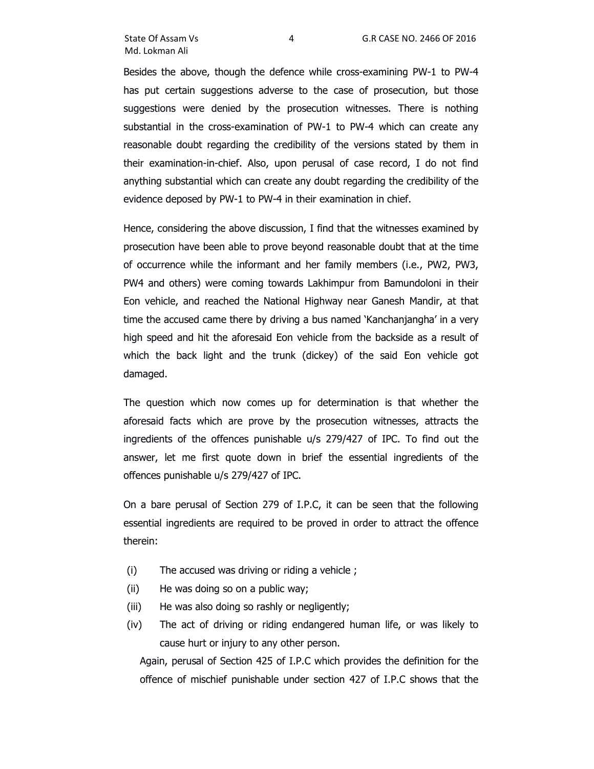Besides the above, though the defence while cross-examining PW-1 to PW-4 has put certain suggestions adverse to the case of prosecution, but those suggestions were denied by the prosecution witnesses. There is nothing substantial in the cross-examination of PW-1 to PW-4 which can create any reasonable doubt regarding the credibility of the versions stated by them in their examination-in-chief. Also, upon perusal of case record, I do not find anything substantial which can create any doubt regarding the credibility of the evidence deposed by PW-1 to PW-4 in their examination in chief.

Hence, considering the above discussion, I find that the witnesses examined by prosecution have been able to prove beyond reasonable doubt that at the time of occurrence while the informant and her family members (i.e., PW2, PW3, PW4 and others) were coming towards Lakhimpur from Bamundoloni in their Eon vehicle, and reached the National Highway near Ganesh Mandir, at that time the accused came there by driving a bus named 'Kanchanjangha' in a very high speed and hit the aforesaid Eon vehicle from the backside as a result of which the back light and the trunk (dickey) of the said Eon vehicle got damaged.

The question which now comes up for determination is that whether the aforesaid facts which are prove by the prosecution witnesses, attracts the ingredients of the offences punishable u/s 279/427 of IPC. To find out the answer, let me first quote down in brief the essential ingredients of the offences punishable u/s 279/427 of IPC.

On a bare perusal of Section 279 of I.P.C, it can be seen that the following essential ingredients are required to be proved in order to attract the offence therein:

- (i) The accused was driving or riding a vehicle ;
- (ii) He was doing so on a public way;
- (iii) He was also doing so rashly or negligently;
- (iv) The act of driving or riding endangered human life, or was likely to cause hurt or injury to any other person.

Again, perusal of Section 425 of I.P.C which provides the definition for the offence of mischief punishable under section 427 of I.P.C shows that the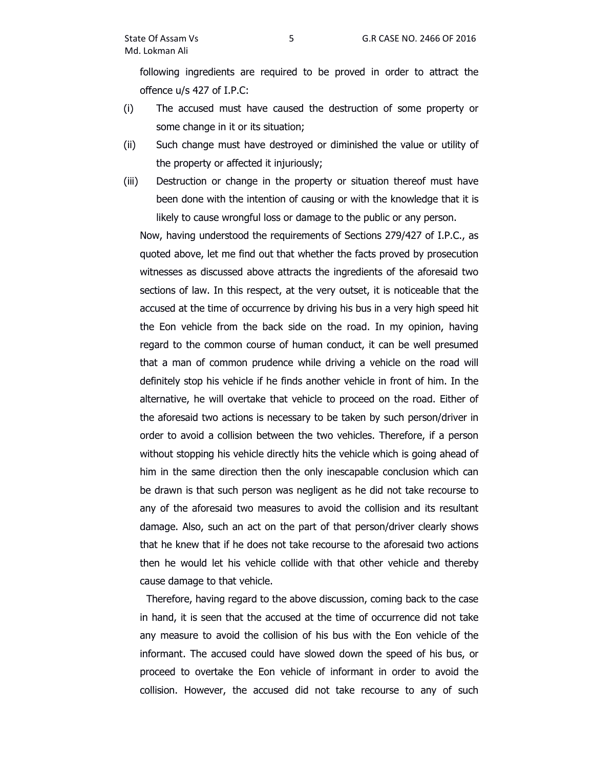following ingredients are required to be proved in order to attract the offence u/s 427 of I.P.C:

- (i) The accused must have caused the destruction of some property or some change in it or its situation;
- (ii) Such change must have destroyed or diminished the value or utility of the property or affected it injuriously;
- (iii) Destruction or change in the property or situation thereof must have been done with the intention of causing or with the knowledge that it is likely to cause wrongful loss or damage to the public or any person.

Now, having understood the requirements of Sections 279/427 of I.P.C., as quoted above, let me find out that whether the facts proved by prosecution witnesses as discussed above attracts the ingredients of the aforesaid two sections of law. In this respect, at the very outset, it is noticeable that the accused at the time of occurrence by driving his bus in a very high speed hit the Eon vehicle from the back side on the road. In my opinion, having regard to the common course of human conduct, it can be well presumed that a man of common prudence while driving a vehicle on the road will definitely stop his vehicle if he finds another vehicle in front of him. In the alternative, he will overtake that vehicle to proceed on the road. Either of the aforesaid two actions is necessary to be taken by such person/driver in order to avoid a collision between the two vehicles. Therefore, if a person without stopping his vehicle directly hits the vehicle which is going ahead of him in the same direction then the only inescapable conclusion which can be drawn is that such person was negligent as he did not take recourse to any of the aforesaid two measures to avoid the collision and its resultant damage. Also, such an act on the part of that person/driver clearly shows that he knew that if he does not take recourse to the aforesaid two actions then he would let his vehicle collide with that other vehicle and thereby cause damage to that vehicle.

 Therefore, having regard to the above discussion, coming back to the case in hand, it is seen that the accused at the time of occurrence did not take any measure to avoid the collision of his bus with the Eon vehicle of the informant. The accused could have slowed down the speed of his bus, or proceed to overtake the Eon vehicle of informant in order to avoid the collision. However, the accused did not take recourse to any of such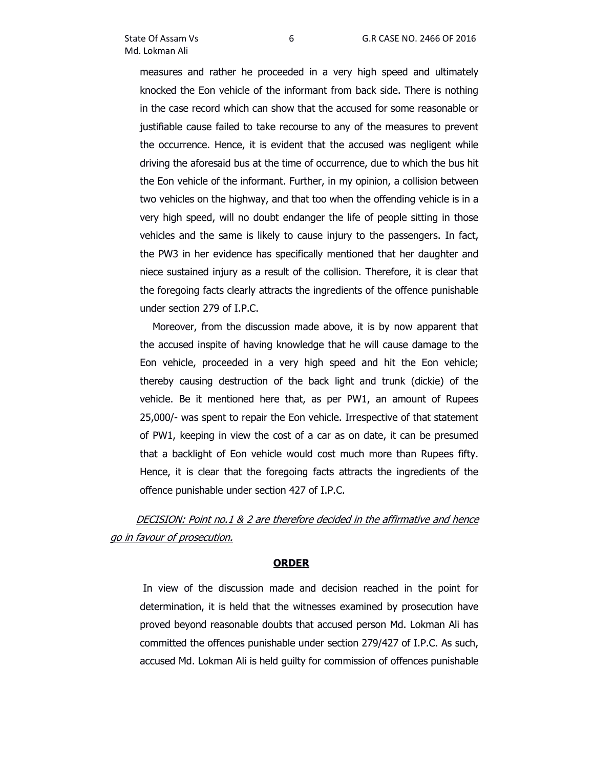measures and rather he proceeded in a very high speed and ultimately knocked the Eon vehicle of the informant from back side. There is nothing in the case record which can show that the accused for some reasonable or justifiable cause failed to take recourse to any of the measures to prevent the occurrence. Hence, it is evident that the accused was negligent while driving the aforesaid bus at the time of occurrence, due to which the bus hit the Eon vehicle of the informant. Further, in my opinion, a collision between two vehicles on the highway, and that too when the offending vehicle is in a very high speed, will no doubt endanger the life of people sitting in those vehicles and the same is likely to cause injury to the passengers. In fact, the PW3 in her evidence has specifically mentioned that her daughter and niece sustained injury as a result of the collision. Therefore, it is clear that the foregoing facts clearly attracts the ingredients of the offence punishable under section 279 of I.P.C.

 Moreover, from the discussion made above, it is by now apparent that the accused inspite of having knowledge that he will cause damage to the Eon vehicle, proceeded in a very high speed and hit the Eon vehicle; thereby causing destruction of the back light and trunk (dickie) of the vehicle. Be it mentioned here that, as per PW1, an amount of Rupees 25,000/- was spent to repair the Eon vehicle. Irrespective of that statement of PW1, keeping in view the cost of a car as on date, it can be presumed that a backlight of Eon vehicle would cost much more than Rupees fifty. Hence, it is clear that the foregoing facts attracts the ingredients of the offence punishable under section 427 of I.P.C.

# DECISION: Point no.1 & 2 are therefore decided in the affirmative and hence go in favour of prosecution.

## **ORDER**

 In view of the discussion made and decision reached in the point for determination, it is held that the witnesses examined by prosecution have proved beyond reasonable doubts that accused person Md. Lokman Ali has committed the offences punishable under section 279/427 of I.P.C. As such, accused Md. Lokman Ali is held guilty for commission of offences punishable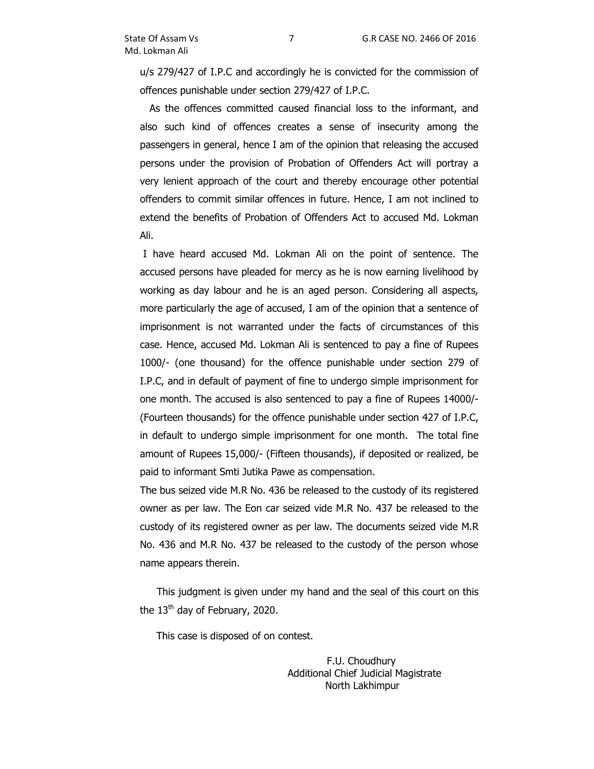u/s 279/427 of I.P.C and accordingly he is convicted for the commission of offences punishable under section 279/427 of I.P.C.

 As the offences committed caused financial loss to the informant, and also such kind of offences creates a sense of insecurity among the passengers in general, hence I am of the opinion that releasing the accused persons under the provision of Probation of Offenders Act will portray a very lenient approach of the court and thereby encourage other potential offenders to commit similar offences in future. Hence, I am not inclined to extend the benefits of Probation of Offenders Act to accused Md. Lokman Ali.

 I have heard accused Md. Lokman Ali on the point of sentence. The accused persons have pleaded for mercy as he is now earning livelihood by working as day labour and he is an aged person. Considering all aspects, more particularly the age of accused, I am of the opinion that a sentence of imprisonment is not warranted under the facts of circumstances of this case. Hence, accused Md. Lokman Ali is sentenced to pay a fine of Rupees 1000/- (one thousand) for the offence punishable under section 279 of I.P.C, and in default of payment of fine to undergo simple imprisonment for one month. The accused is also sentenced to pay a fine of Rupees 14000/- (Fourteen thousands) for the offence punishable under section 427 of I.P.C, in default to undergo simple imprisonment for one month. The total fine amount of Rupees 15,000/- (Fifteen thousands), if deposited or realized, be paid to informant Smti Jutika Pawe as compensation.

The bus seized vide M.R No. 436 be released to the custody of its registered owner as per law. The Eon car seized vide M.R No. 437 be released to the custody of its registered owner as per law. The documents seized vide M.R No. 436 and M.R No. 437 be released to the custody of the person whose name appears therein.

This judgment is given under my hand and the seal of this court on this the  $13<sup>th</sup>$  day of February, 2020.

This case is disposed of on contest.

 F.U. Choudhury Additional Chief Judicial Magistrate North Lakhimpur